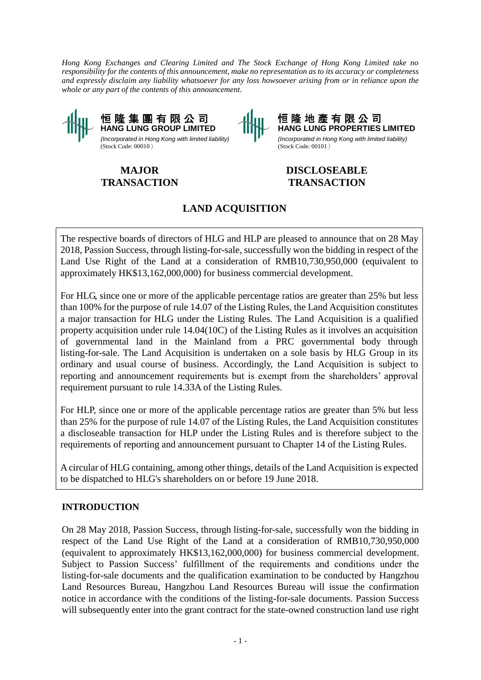*Hong Kong Exchanges and Clearing Limited and The Stock Exchange of Hong Kong Limited take no responsibility for the contents of this announcement, make no representation as to its accuracy or completeness and expressly disclaim any liability whatsoever for any loss howsoever arising from or in reliance upon the whole or any part of the contents of this announcement.* 



**MAJOR TRANSACTION**

恒 隆 地 產 有 限 公 司 **HANG LUNG PROPERTIES LIMITED** *(Incorporated in Hong Kong with limited liability)* (Stock Code: 00101)

# **DISCLOSEABLE TRANSACTION**

# **LAND ACQUISITION**

The respective boards of directors of HLG and HLP are pleased to announce that on 28 May 2018, Passion Success, through listing-for-sale, successfully won the bidding in respect of the Land Use Right of the Land at a consideration of RMB10,730,950,000 (equivalent to approximately HK\$13,162,000,000) for business commercial development.

For HLG, since one or more of the applicable percentage ratios are greater than 25% but less than 100% for the purpose of rule 14.07 of the Listing Rules, the Land Acquisition constitutes a major transaction for HLG under the Listing Rules. The Land Acquisition is a qualified property acquisition under rule 14.04(10C) of the Listing Rules as it involves an acquisition of governmental land in the Mainland from a PRC governmental body through listing-for-sale. The Land Acquisition is undertaken on a sole basis by HLG Group in its ordinary and usual course of business. Accordingly, the Land Acquisition is subject to reporting and announcement requirements but is exempt from the shareholders' approval requirement pursuant to rule 14.33A of the Listing Rules.

For HLP, since one or more of the applicable percentage ratios are greater than 5% but less than 25% for the purpose of rule 14.07 of the Listing Rules, the Land Acquisition constitutes a discloseable transaction for HLP under the Listing Rules and is therefore subject to the requirements of reporting and announcement pursuant to Chapter 14 of the Listing Rules.

A circular of HLG containing, among other things, details of the Land Acquisition is expected to be dispatched to HLG's shareholders on or before 19 June 2018.

## **INTRODUCTION**

On 28 May 2018, Passion Success, through listing-for-sale, successfully won the bidding in respect of the Land Use Right of the Land at a consideration of RMB10,730,950,000 (equivalent to approximately HK\$13,162,000,000) for business commercial development. Subject to Passion Success' fulfillment of the requirements and conditions under the listing-for-sale documents and the qualification examination to be conducted by Hangzhou Land Resources Bureau, Hangzhou Land Resources Bureau will issue the confirmation notice in accordance with the conditions of the listing-for-sale documents. Passion Success will subsequently enter into the grant contract for the state-owned construction land use right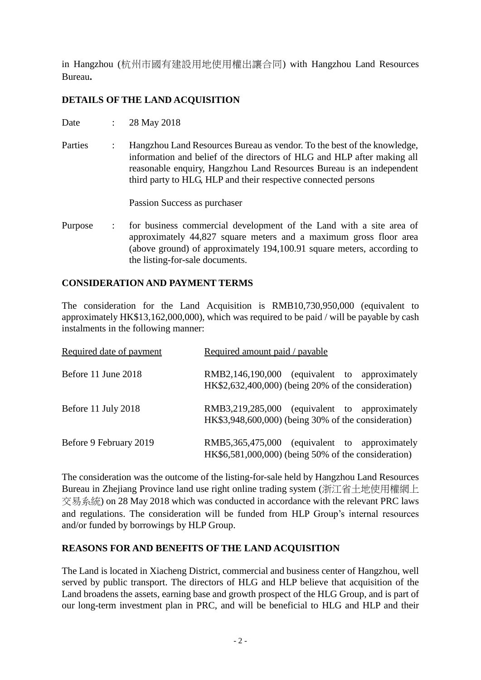in Hangzhou (杭州市國有建設用地使用權出讓合同) with Hangzhou Land Resources Bureau**.** 

## **DETAILS OF THE LAND ACQUISITION**

- Date : 28 May 2018
- Parties : Hangzhou Land Resources Bureau as vendor. To the best of the knowledge, information and belief of the directors of HLG and HLP after making all reasonable enquiry, Hangzhou Land Resources Bureau is an independent third party to HLG, HLP and their respective connected persons

Passion Success as purchaser

Purpose : for business commercial development of the Land with a site area of approximately 44,827 square meters and a maximum gross floor area (above ground) of approximately 194,100.91 square meters, according to the listing-for-sale documents.

## **CONSIDERATION AND PAYMENT TERMS**

The consideration for the Land Acquisition is RMB10,730,950,000 (equivalent to approximately HK\$13,162,000,000), which was required to be paid / will be payable by cash instalments in the following manner:

| Required date of payment | Required amount paid / payable                                                                       |
|--------------------------|------------------------------------------------------------------------------------------------------|
| Before 11 June 2018      | RMB2,146,190,000 (equivalent to approximately<br>HK\$2,632,400,000) (being 20% of the consideration) |
| Before 11 July 2018      | RMB3,219,285,000 (equivalent to approximately<br>HK\$3,948,600,000) (being 30% of the consideration) |
| Before 9 February 2019   | RMB5,365,475,000 (equivalent to approximately<br>$HK$6,581,000,000$ (being 50% of the consideration) |

The consideration was the outcome of the listing-for-sale held by Hangzhou Land Resources Bureau in Zhejiang Province land use right online trading system (浙江省土地使用權網上 交易系統) on 28 May 2018 which was conducted in accordance with the relevant PRC laws and regulations. The consideration will be funded from HLP Group's internal resources and/or funded by borrowings by HLP Group.

## **REASONS FOR AND BENEFITS OF THE LAND ACQUISITION**

The Land is located in Xiacheng District, commercial and business center of Hangzhou, well served by public transport. The directors of HLG and HLP believe that acquisition of the Land broadens the assets, earning base and growth prospect of the HLG Group, and is part of our long-term investment plan in PRC, and will be beneficial to HLG and HLP and their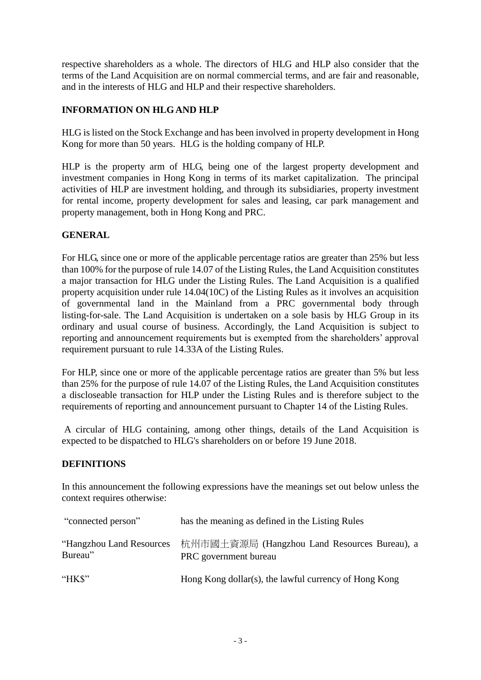respective shareholders as a whole. The directors of HLG and HLP also consider that the terms of the Land Acquisition are on normal commercial terms, and are fair and reasonable, and in the interests of HLG and HLP and their respective shareholders.

## **INFORMATION ON HLGAND HLP**

HLG is listed on the Stock Exchange and has been involved in property development in Hong Kong for more than 50 years. HLG is the holding company of HLP.

HLP is the property arm of HLG, being one of the largest property development and investment companies in Hong Kong in terms of its market capitalization. The principal activities of HLP are investment holding, and through its subsidiaries, property investment for rental income, property development for sales and leasing, car park management and property management, both in Hong Kong and PRC.

## **GENERAL**

For HLG, since one or more of the applicable percentage ratios are greater than 25% but less than 100% for the purpose of rule 14.07 of the Listing Rules, the Land Acquisition constitutes a major transaction for HLG under the Listing Rules. The Land Acquisition is a qualified property acquisition under rule 14.04(10C) of the Listing Rules as it involves an acquisition of governmental land in the Mainland from a PRC governmental body through listing-for-sale. The Land Acquisition is undertaken on a sole basis by HLG Group in its ordinary and usual course of business. Accordingly, the Land Acquisition is subject to reporting and announcement requirements but is exempted from the shareholders' approval requirement pursuant to rule 14.33A of the Listing Rules.

For HLP, since one or more of the applicable percentage ratios are greater than 5% but less than 25% for the purpose of rule 14.07 of the Listing Rules, the Land Acquisition constitutes a discloseable transaction for HLP under the Listing Rules and is therefore subject to the requirements of reporting and announcement pursuant to Chapter 14 of the Listing Rules.

A circular of HLG containing, among other things, details of the Land Acquisition is expected to be dispatched to HLG's shareholders on or before 19 June 2018.

## **DEFINITIONS**

In this announcement the following expressions have the meanings set out below unless the context requires otherwise:

| "connected person"                   | has the meaning as defined in the Listing Rules                       |
|--------------------------------------|-----------------------------------------------------------------------|
| "Hangzhou Land Resources"<br>Bureau" | 杭州市國土資源局 (Hangzhou Land Resources Bureau), a<br>PRC government bureau |
| " $HKS"$                             | Hong Kong dollar(s), the lawful currency of Hong Kong                 |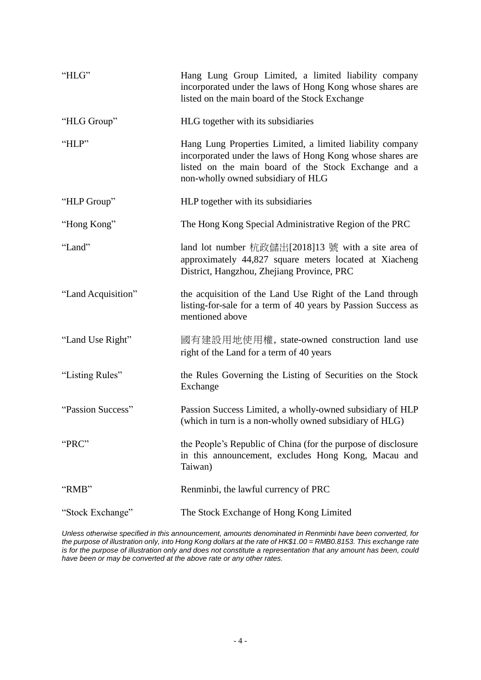| "HLG"              | Hang Lung Group Limited, a limited liability company<br>incorporated under the laws of Hong Kong whose shares are<br>listed on the main board of the Stock Exchange                                                  |
|--------------------|----------------------------------------------------------------------------------------------------------------------------------------------------------------------------------------------------------------------|
| "HLG Group"        | HLG together with its subsidiaries                                                                                                                                                                                   |
| "HLP"              | Hang Lung Properties Limited, a limited liability company<br>incorporated under the laws of Hong Kong whose shares are<br>listed on the main board of the Stock Exchange and a<br>non-wholly owned subsidiary of HLG |
| "HLP Group"        | HLP together with its subsidiaries                                                                                                                                                                                   |
| "Hong Kong"        | The Hong Kong Special Administrative Region of the PRC                                                                                                                                                               |
| "Land"             | land lot number 杭政儲出[2018]13 號 with a site area of<br>approximately 44,827 square meters located at Xiacheng<br>District, Hangzhou, Zhejiang Province, PRC                                                           |
| "Land Acquisition" | the acquisition of the Land Use Right of the Land through<br>listing-for-sale for a term of 40 years by Passion Success as<br>mentioned above                                                                        |
| "Land Use Right"   | 國有建設用地使用權, state-owned construction land use<br>right of the Land for a term of 40 years                                                                                                                             |
| "Listing Rules"    | the Rules Governing the Listing of Securities on the Stock<br>Exchange                                                                                                                                               |
| "Passion Success"  | Passion Success Limited, a wholly-owned subsidiary of HLP<br>(which in turn is a non-wholly owned subsidiary of HLG)                                                                                                 |
| "PRC"              | the People's Republic of China (for the purpose of disclosure<br>in this announcement, excludes Hong Kong, Macau and<br>Taiwan)                                                                                      |
| "RMB"              | Renminbi, the lawful currency of PRC                                                                                                                                                                                 |
| "Stock Exchange"   | The Stock Exchange of Hong Kong Limited                                                                                                                                                                              |

*Unless otherwise specified in this announcement, amounts denominated in Renminbi have been converted, for the purpose of illustration only, into Hong Kong dollars at the rate of HK\$1.00 = RMB0.8153. This exchange rate is for the purpose of illustration only and does not constitute a representation that any amount has been, could have been or may be converted at the above rate or any other rates.*